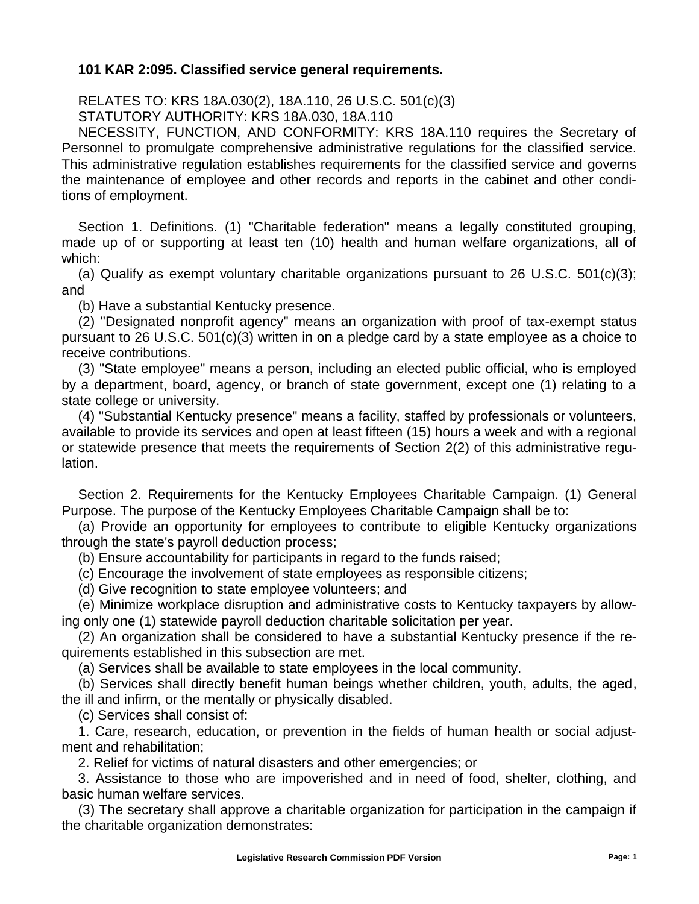## **101 KAR 2:095. Classified service general requirements.**

RELATES TO: KRS 18A.030(2), 18A.110, 26 U.S.C. 501(c)(3) STATUTORY AUTHORITY: KRS 18A.030, 18A.110

NECESSITY, FUNCTION, AND CONFORMITY: KRS 18A.110 requires the Secretary of Personnel to promulgate comprehensive administrative regulations for the classified service. This administrative regulation establishes requirements for the classified service and governs the maintenance of employee and other records and reports in the cabinet and other conditions of employment.

Section 1. Definitions. (1) "Charitable federation" means a legally constituted grouping, made up of or supporting at least ten (10) health and human welfare organizations, all of which:

(a) Qualify as exempt voluntary charitable organizations pursuant to 26 U.S.C. 501(c)(3); and

(b) Have a substantial Kentucky presence.

(2) "Designated nonprofit agency" means an organization with proof of tax-exempt status pursuant to 26 U.S.C. 501(c)(3) written in on a pledge card by a state employee as a choice to receive contributions.

(3) "State employee" means a person, including an elected public official, who is employed by a department, board, agency, or branch of state government, except one (1) relating to a state college or university.

(4) "Substantial Kentucky presence" means a facility, staffed by professionals or volunteers, available to provide its services and open at least fifteen (15) hours a week and with a regional or statewide presence that meets the requirements of Section 2(2) of this administrative regulation.

Section 2. Requirements for the Kentucky Employees Charitable Campaign. (1) General Purpose. The purpose of the Kentucky Employees Charitable Campaign shall be to:

(a) Provide an opportunity for employees to contribute to eligible Kentucky organizations through the state's payroll deduction process;

(b) Ensure accountability for participants in regard to the funds raised;

(c) Encourage the involvement of state employees as responsible citizens;

(d) Give recognition to state employee volunteers; and

(e) Minimize workplace disruption and administrative costs to Kentucky taxpayers by allowing only one (1) statewide payroll deduction charitable solicitation per year.

(2) An organization shall be considered to have a substantial Kentucky presence if the requirements established in this subsection are met.

(a) Services shall be available to state employees in the local community.

(b) Services shall directly benefit human beings whether children, youth, adults, the aged, the ill and infirm, or the mentally or physically disabled.

(c) Services shall consist of:

1. Care, research, education, or prevention in the fields of human health or social adjustment and rehabilitation;

2. Relief for victims of natural disasters and other emergencies; or

3. Assistance to those who are impoverished and in need of food, shelter, clothing, and basic human welfare services.

(3) The secretary shall approve a charitable organization for participation in the campaign if the charitable organization demonstrates: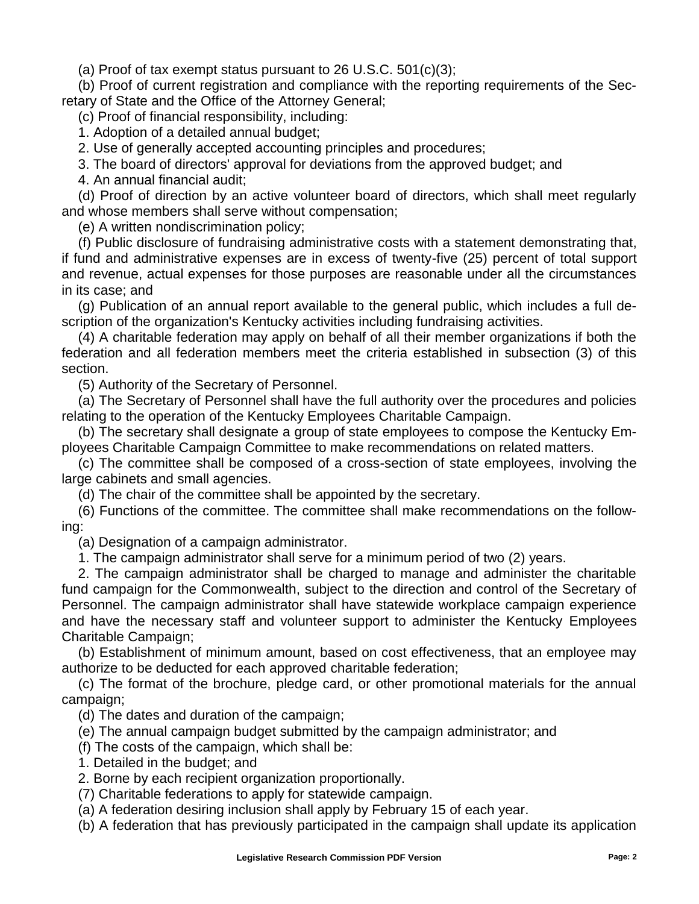(a) Proof of tax exempt status pursuant to 26 U.S.C. 501(c)(3);

(b) Proof of current registration and compliance with the reporting requirements of the Secretary of State and the Office of the Attorney General;

(c) Proof of financial responsibility, including:

1. Adoption of a detailed annual budget;

2. Use of generally accepted accounting principles and procedures;

3. The board of directors' approval for deviations from the approved budget; and

4. An annual financial audit;

(d) Proof of direction by an active volunteer board of directors, which shall meet regularly and whose members shall serve without compensation;

(e) A written nondiscrimination policy;

(f) Public disclosure of fundraising administrative costs with a statement demonstrating that, if fund and administrative expenses are in excess of twenty-five (25) percent of total support and revenue, actual expenses for those purposes are reasonable under all the circumstances in its case; and

(g) Publication of an annual report available to the general public, which includes a full description of the organization's Kentucky activities including fundraising activities.

(4) A charitable federation may apply on behalf of all their member organizations if both the federation and all federation members meet the criteria established in subsection (3) of this section.

(5) Authority of the Secretary of Personnel.

(a) The Secretary of Personnel shall have the full authority over the procedures and policies relating to the operation of the Kentucky Employees Charitable Campaign.

(b) The secretary shall designate a group of state employees to compose the Kentucky Employees Charitable Campaign Committee to make recommendations on related matters.

(c) The committee shall be composed of a cross-section of state employees, involving the large cabinets and small agencies.

(d) The chair of the committee shall be appointed by the secretary.

(6) Functions of the committee. The committee shall make recommendations on the following:

(a) Designation of a campaign administrator.

1. The campaign administrator shall serve for a minimum period of two (2) years.

2. The campaign administrator shall be charged to manage and administer the charitable fund campaign for the Commonwealth, subject to the direction and control of the Secretary of Personnel. The campaign administrator shall have statewide workplace campaign experience and have the necessary staff and volunteer support to administer the Kentucky Employees Charitable Campaign;

(b) Establishment of minimum amount, based on cost effectiveness, that an employee may authorize to be deducted for each approved charitable federation;

(c) The format of the brochure, pledge card, or other promotional materials for the annual campaign;

(d) The dates and duration of the campaign;

(e) The annual campaign budget submitted by the campaign administrator; and

(f) The costs of the campaign, which shall be:

1. Detailed in the budget; and

2. Borne by each recipient organization proportionally.

(7) Charitable federations to apply for statewide campaign.

(a) A federation desiring inclusion shall apply by February 15 of each year.

(b) A federation that has previously participated in the campaign shall update its application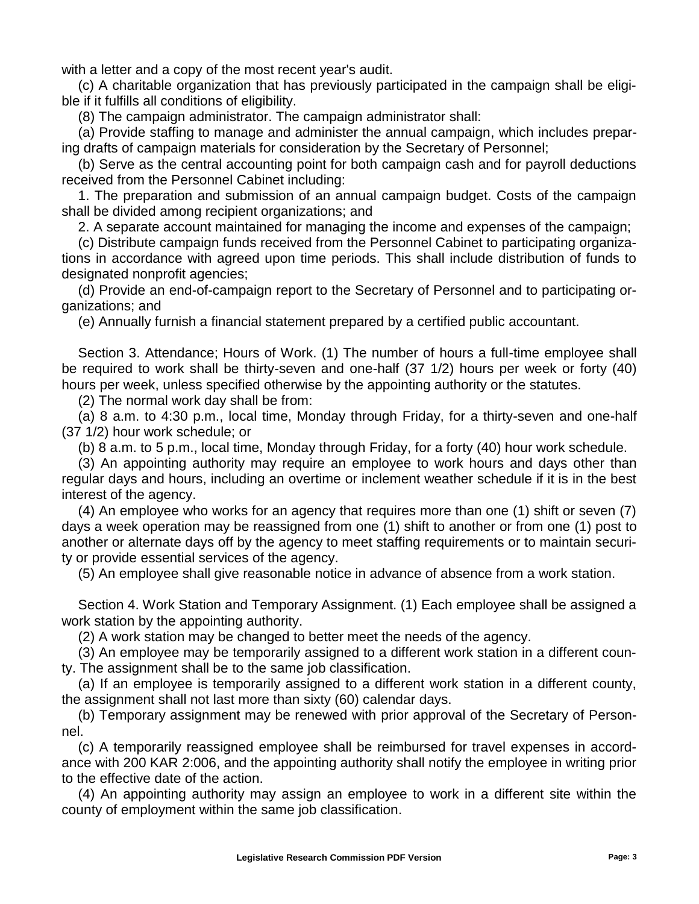with a letter and a copy of the most recent year's audit.

(c) A charitable organization that has previously participated in the campaign shall be eligible if it fulfills all conditions of eligibility.

(8) The campaign administrator. The campaign administrator shall:

(a) Provide staffing to manage and administer the annual campaign, which includes preparing drafts of campaign materials for consideration by the Secretary of Personnel;

(b) Serve as the central accounting point for both campaign cash and for payroll deductions received from the Personnel Cabinet including:

1. The preparation and submission of an annual campaign budget. Costs of the campaign shall be divided among recipient organizations; and

2. A separate account maintained for managing the income and expenses of the campaign;

(c) Distribute campaign funds received from the Personnel Cabinet to participating organizations in accordance with agreed upon time periods. This shall include distribution of funds to designated nonprofit agencies;

(d) Provide an end-of-campaign report to the Secretary of Personnel and to participating organizations; and

(e) Annually furnish a financial statement prepared by a certified public accountant.

Section 3. Attendance; Hours of Work. (1) The number of hours a full-time employee shall be required to work shall be thirty-seven and one-half (37 1/2) hours per week or forty (40) hours per week, unless specified otherwise by the appointing authority or the statutes.

(2) The normal work day shall be from:

(a) 8 a.m. to 4:30 p.m., local time, Monday through Friday, for a thirty-seven and one-half (37 1/2) hour work schedule; or

(b) 8 a.m. to 5 p.m., local time, Monday through Friday, for a forty (40) hour work schedule.

(3) An appointing authority may require an employee to work hours and days other than regular days and hours, including an overtime or inclement weather schedule if it is in the best interest of the agency.

(4) An employee who works for an agency that requires more than one (1) shift or seven (7) days a week operation may be reassigned from one (1) shift to another or from one (1) post to another or alternate days off by the agency to meet staffing requirements or to maintain security or provide essential services of the agency.

(5) An employee shall give reasonable notice in advance of absence from a work station.

Section 4. Work Station and Temporary Assignment. (1) Each employee shall be assigned a work station by the appointing authority.

(2) A work station may be changed to better meet the needs of the agency.

(3) An employee may be temporarily assigned to a different work station in a different county. The assignment shall be to the same job classification.

(a) If an employee is temporarily assigned to a different work station in a different county, the assignment shall not last more than sixty (60) calendar days.

(b) Temporary assignment may be renewed with prior approval of the Secretary of Personnel.

(c) A temporarily reassigned employee shall be reimbursed for travel expenses in accordance with 200 KAR 2:006, and the appointing authority shall notify the employee in writing prior to the effective date of the action.

(4) An appointing authority may assign an employee to work in a different site within the county of employment within the same job classification.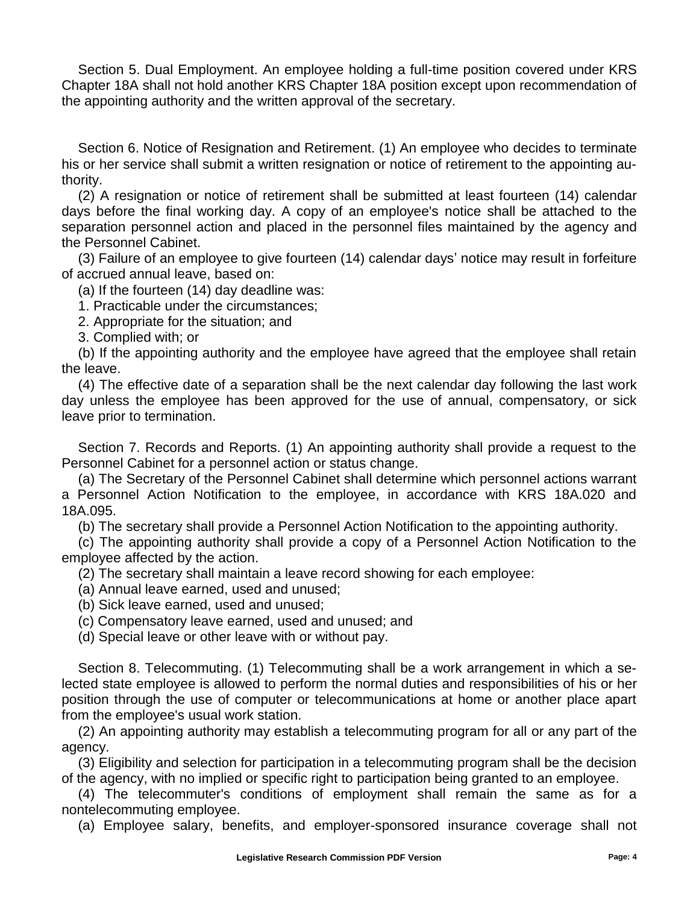Section 5. Dual Employment. An employee holding a full-time position covered under KRS Chapter 18A shall not hold another KRS Chapter 18A position except upon recommendation of the appointing authority and the written approval of the secretary.

Section 6. Notice of Resignation and Retirement. (1) An employee who decides to terminate his or her service shall submit a written resignation or notice of retirement to the appointing authority.

(2) A resignation or notice of retirement shall be submitted at least fourteen (14) calendar days before the final working day. A copy of an employee's notice shall be attached to the separation personnel action and placed in the personnel files maintained by the agency and the Personnel Cabinet.

(3) Failure of an employee to give fourteen (14) calendar days' notice may result in forfeiture of accrued annual leave, based on:

(a) If the fourteen (14) day deadline was:

1. Practicable under the circumstances;

2. Appropriate for the situation; and

3. Complied with; or

(b) If the appointing authority and the employee have agreed that the employee shall retain the leave.

(4) The effective date of a separation shall be the next calendar day following the last work day unless the employee has been approved for the use of annual, compensatory, or sick leave prior to termination.

Section 7. Records and Reports. (1) An appointing authority shall provide a request to the Personnel Cabinet for a personnel action or status change.

(a) The Secretary of the Personnel Cabinet shall determine which personnel actions warrant a Personnel Action Notification to the employee, in accordance with KRS 18A.020 and 18A.095.

(b) The secretary shall provide a Personnel Action Notification to the appointing authority.

(c) The appointing authority shall provide a copy of a Personnel Action Notification to the employee affected by the action.

(2) The secretary shall maintain a leave record showing for each employee:

(a) Annual leave earned, used and unused;

(b) Sick leave earned, used and unused;

(c) Compensatory leave earned, used and unused; and

(d) Special leave or other leave with or without pay.

Section 8. Telecommuting. (1) Telecommuting shall be a work arrangement in which a selected state employee is allowed to perform the normal duties and responsibilities of his or her position through the use of computer or telecommunications at home or another place apart from the employee's usual work station.

(2) An appointing authority may establish a telecommuting program for all or any part of the agency.

(3) Eligibility and selection for participation in a telecommuting program shall be the decision of the agency, with no implied or specific right to participation being granted to an employee.

(4) The telecommuter's conditions of employment shall remain the same as for a nontelecommuting employee.

(a) Employee salary, benefits, and employer-sponsored insurance coverage shall not